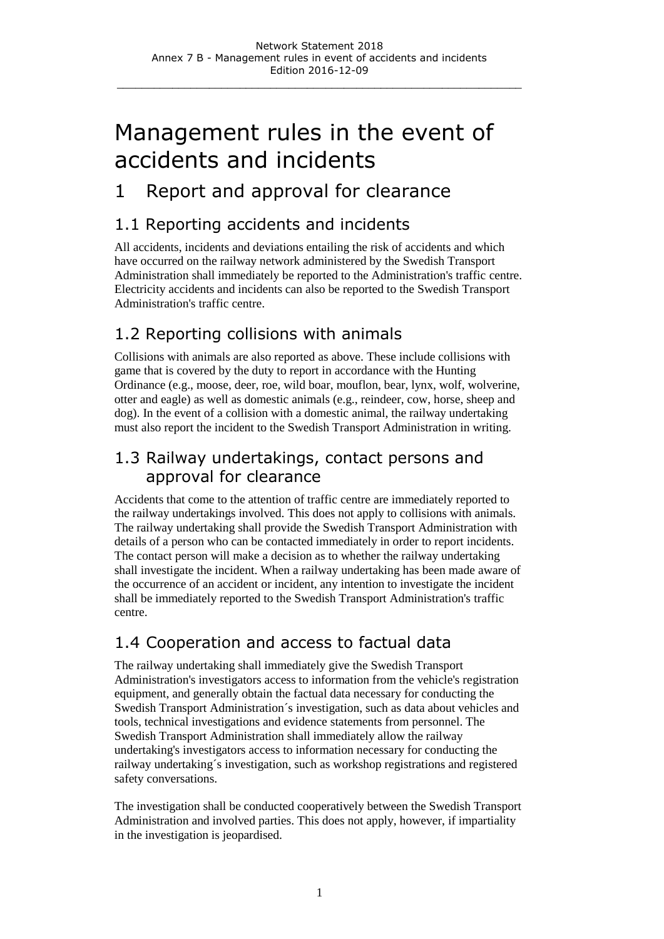# Management rules in the event of accidents and incidents

### 1 Report and approval for clearance

#### 1.1 Reporting accidents and incidents

All accidents, incidents and deviations entailing the risk of accidents and which have occurred on the railway network administered by the Swedish Transport Administration shall immediately be reported to the Administration's traffic centre. Electricity accidents and incidents can also be reported to the Swedish Transport Administration's traffic centre.

#### 1.2 Reporting collisions with animals

Collisions with animals are also reported as above. These include collisions with game that is covered by the duty to report in accordance with the Hunting Ordinance (e.g., moose, deer, roe, wild boar, mouflon, bear, lynx, wolf, wolverine, otter and eagle) as well as domestic animals (e.g., reindeer, cow, horse, sheep and dog). In the event of a collision with a domestic animal, the railway undertaking must also report the incident to the Swedish Transport Administration in writing.

#### 1.3 Railway undertakings, contact persons and approval for clearance

Accidents that come to the attention of traffic centre are immediately reported to the railway undertakings involved. This does not apply to collisions with animals. The railway undertaking shall provide the Swedish Transport Administration with details of a person who can be contacted immediately in order to report incidents. The contact person will make a decision as to whether the railway undertaking shall investigate the incident. When a railway undertaking has been made aware of the occurrence of an accident or incident, any intention to investigate the incident shall be immediately reported to the Swedish Transport Administration's traffic centre.

#### 1.4 Cooperation and access to factual data

The railway undertaking shall immediately give the Swedish Transport Administration's investigators access to information from the vehicle's registration equipment, and generally obtain the factual data necessary for conducting the Swedish Transport Administration´s investigation, such as data about vehicles and tools, technical investigations and evidence statements from personnel. The Swedish Transport Administration shall immediately allow the railway undertaking's investigators access to information necessary for conducting the railway undertaking´s investigation, such as workshop registrations and registered safety conversations.

The investigation shall be conducted cooperatively between the Swedish Transport Administration and involved parties. This does not apply, however, if impartiality in the investigation is jeopardised.